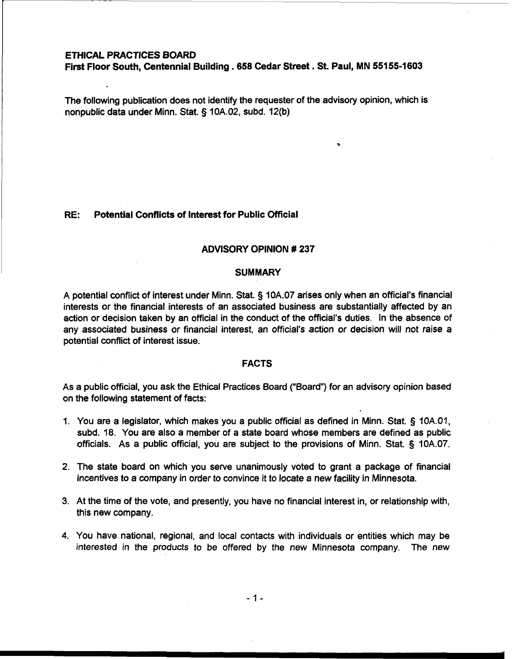# **ETHICAL PRACTICES BOARD**

**First Floor South, Centennial Building** . **658 Cedar Street** . **St. Paul, MN 551 55-1 603** 

The following publication does not identify the requester of the advisory opinion, which is nonpublic data under Minn. Stat. § 10A.02, subd. 12(b)

## **RE: Potential Conflicts of Interest for Public Official**

### **ADVISORY OPINION** # **237**

#### **SUMMARY**

A potential conflict of interest under Minn. Stat. § 10A.07 arises only when an official's financial interests or the financial interests of an associated business are substantially affected by an action or decision taken by an official in the conduct of the official's duties. In the absence of any associated business or financial interest, an official's action or decision will not raise a potential conflict of interest issue.

## **FACTS**

As a public official, you ask the Ethical Practices Board ("Board") for an advisory opinion based on the following statement of facts:

- 1. You are a legislator, which makes you a public official as defined in Minn. Stat. § 10A.01, subd. 18. You are also a member of a state board whose members are defined as public officials. As a public official, you are subject to the provisions of Minn. Stat. 5 10A.07.
- 2. The state board on which you serve unanimously voted to grant a package of financial incentives to a company in order to convince it to locate a new facility in Minnesota.
- 3. At the time of the vote, and presently, you have no financial interest in, or relationship with, this new company.
- 4. You have national, regional, and local contacts with individuals or entities which may be interested in the products to be offered **by** the new Minnesota company. The new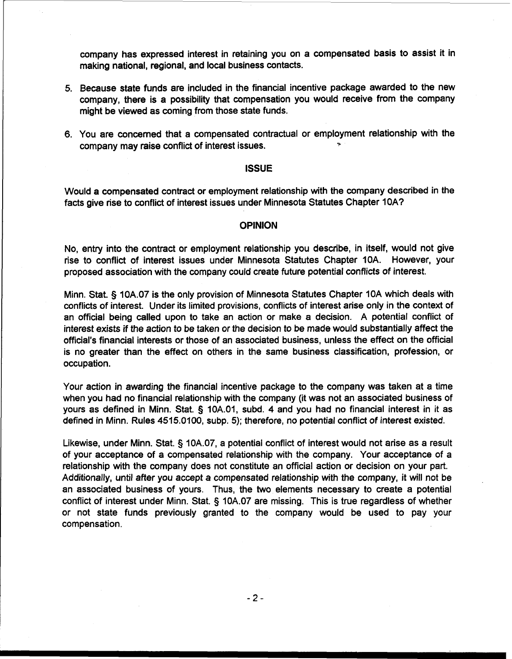company has expressed interest in retaining you on a compensated basis to assist it in making national, regional, and local business contacts.

- 5. Because state funds are included in the financial incentive package awarded to the new company, there is a possibility that compensation you would receive from the company might be viewed as coming from those state funds.
- 6. You are concerned that a compensated contractual or employment relationship with the company may raise conflict of interest issues.

## **ISSUE**

Would a compensated contract or employment relationship with the company described in the facts give rise to conflict of interest issues under Minnesota Statutes Chapter IOA?

## **OPINION**

No, entry into the contract or employment relationship you describe, in itself, would not give rise to conflict of interest issues under Minnesota Statutes Chapter 10A. However, your proposed association with the company could create future potential conflicts of interest.

Minn. Stat. § 10A.07 is the only provision of Minnesota Statutes Chapter 10A which deals with conflicts of interest. Under its limited provisions, conflicts of interest arise only in the context of an official being called upon to take an action or make a decision. A potential conflict of interest exists if the action to be taken or the decision to be made would substantially affect the official's financial interests or those of an associated business, unless the effect on the official is no greater than the effect on others in the same business classification, profession, or occupation.

Your action in awarding the financial incentive package to the company was taken at a time when you had no financial relationship with the company (it was not an associated business of yours as defined in Minn. Stat. § 10A.01, subd. 4 and you had no financial interest in it as defined in Minn. Rules 4515.0100, subp. 5); therefore, no potential conflict of interest existed.

Likewise, under Minn. Stat. § 10A.07, a potential conflict of interest would not arise as a result of your acceptance of a compensated relationship with the company. Your acceptance of a relationship with the company does not constitute an official action or decision on your part. Additionally, until after you accept a compensated relationship with the company, it will not be an associated business of yours. Thus, the two elements necessary to create a potential conflict of interest under Minn. Stat. § 10A.07 are missing. This is true regardless of whether or not state funds previously granted to the company would be used to pay your compensation.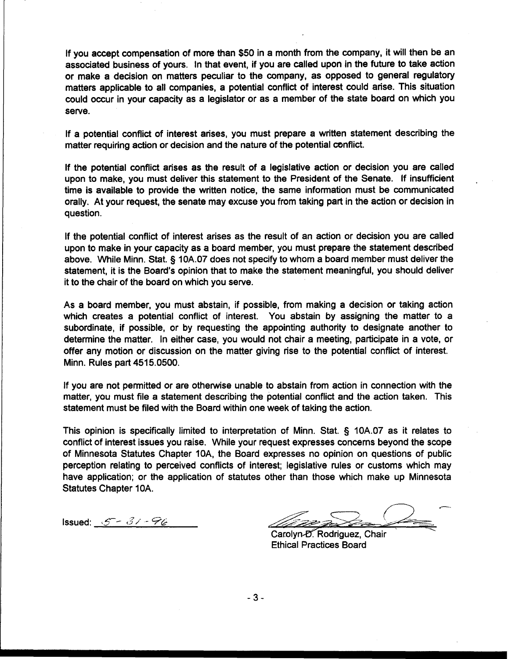If you accept compensation of more than \$50 in a month from the company, it will then be an associated business of yours. In that event, if you are called upon in the future to take action or make a decision on matters peculiar to the company, as opposed to general regulatory matters applicable to all companies, a potential conflict of interest could arise. This situation could occur in your capacity as a legislator or as a member of the state board on which you serve.

If a potential conflict of interest arises, you must prepare a written statement describing the matter requiring action or decision and the nature of the potential conflict.

If the potential conflict arises as the result of a legislative action or decision you are called upon to make, you must deliver this statement to the President of the Senate. If insufficient time is available to provide the written notice, the same information must be communicated orally. At your request, the senate may excuse you from taking part in the action or decision in question.

If the potential conflict of interest arises as the result of an action or decision you are called upon to make in your capacity as a board member, you must prepare the statement described above. While Minn. Stat. 5 10A.07 does not specify to whom a board member must deliver the statement, it is the Board's opinion that to make the statement meaningful, you should deliver it to the chair of the board on which you serve.

As a board member, you must abstain, if possible, from making a decision or taking action which creates a potential conflict of interest. You abstain by assigning the matter to a subordinate, if possible, or by requesting the appointing authority to designate another to determine the matter. In either case, you would not chair a meeting, participate in a vote, or offer any motion or discussion on the matter giving rise to the potential conflict of interest. Minn. Rules part 4515.0500.

If you are not permitted or are othewise unable to abstain from action in connection with the matter, you must file a statement describing the potential conflict and the action taken. This statement must be filed with the Board within one week of taking the action.

This opinion is specifically limited to interpretation of Minn. Stat. § 10A.07 as it relates to conflict of interest issues you raise. While your request expresses concerns beyond the scope of Minnesota Statutes Chapter IOA, the Board expresses no opinion on questions of public perception relating to perceived conflicts of interest; legislative rules or customs which may have application; or the application of statutes other than those which make up Minnesota Statutes Chapter 10A.

 $\overline{\phantom{0}}$  $I$ ssued: <u> $S - 3/ - 76$  /  $I$  Carolyn-*D*</u><br>Carolyn-*D*. Rodriguez, Chair

Ethical Practices Board

 $-3-$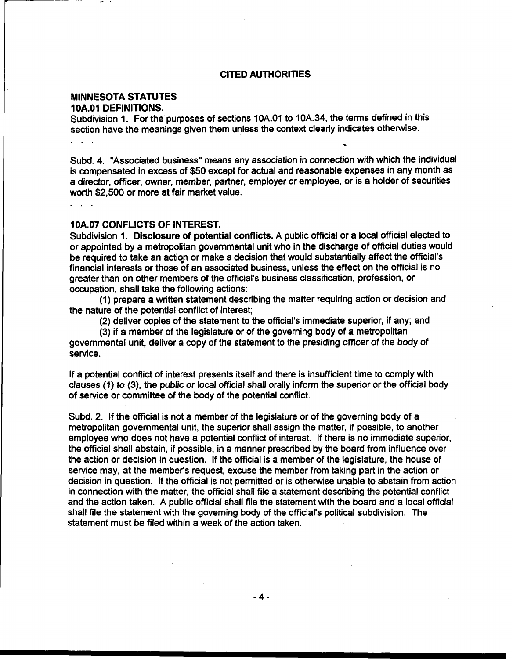## **CITED AUTHORITIES**

# **MINNESOTA STATUTES**

**10A.01 DEFINITIONS.** 

Subdivision 1. For the purposes of sections 10A.O1 to 10A.34, the terms defined in this section have the meanings given them unless the context clearly indicates otherwise.

Subd. 4. "Associated business" means any association in connection with which the individual is compensated in excess of \$50 except for actual and reasonable expenses in any month as a director, officer, owner, member, partner, employer or employee, or is a holder of securities worth \$2,500 or more at fair market value.

 $2.1212$ 

#### **1 OA.07 CONFLICTS OF INTEREST.**

Subdivision 1. **Disclosure** of **potential conflicts.** A public official or a local official elected to or appointed by a metropolitan governmental unit who in the discharge of official duties would be required to take an action or make a decision that would substantially affect the official's financial interests or those of an associated business, unless the effect on the official is no greater than on other members of the official's business classification, profession, or occupation, shall take the following actions:

(1) prepare a written statement describing the matter requiring action or decision and the nature of the potential conflict of interest;

(2) deliver copies of the statement to the official's immediate superior, if any; and

(3) if a member of the legislature or of the governing body of a metropolitan governmental unit, deliver a copy of the statement to the presiding officer of the body of service.

If a potential conflict of interest presents itself and there is insufficient time to comply with clauses (1) to (3), the public or local official shall orally inform the superior or the official body of service or committee of the body of the potential conflict.

Subd. 2. If the official is not a member of the legislature or of the governing body of a metropolitan governmental unit, the superior shall assign the matter, if possible, to another employee who does not have a potential conflict of interest. If there is no immediate superior, the official shall abstain, if possible, in a manner prescribed by the board from influence over the action or decision in question. If the official is a member of the legislature, the house of service may, at the member's request, excuse the member from taking part in the action or decision in question. If the official is not permitted or is otherwise unable to abstain from action in connection with the matter, the official shall file a statement describing the potential conflict and the action taken. A public official shall file the statement with the board and a local official shall file the statement with the governing body of the official's political subdivision. The statement must be filed within a week of the action taken.